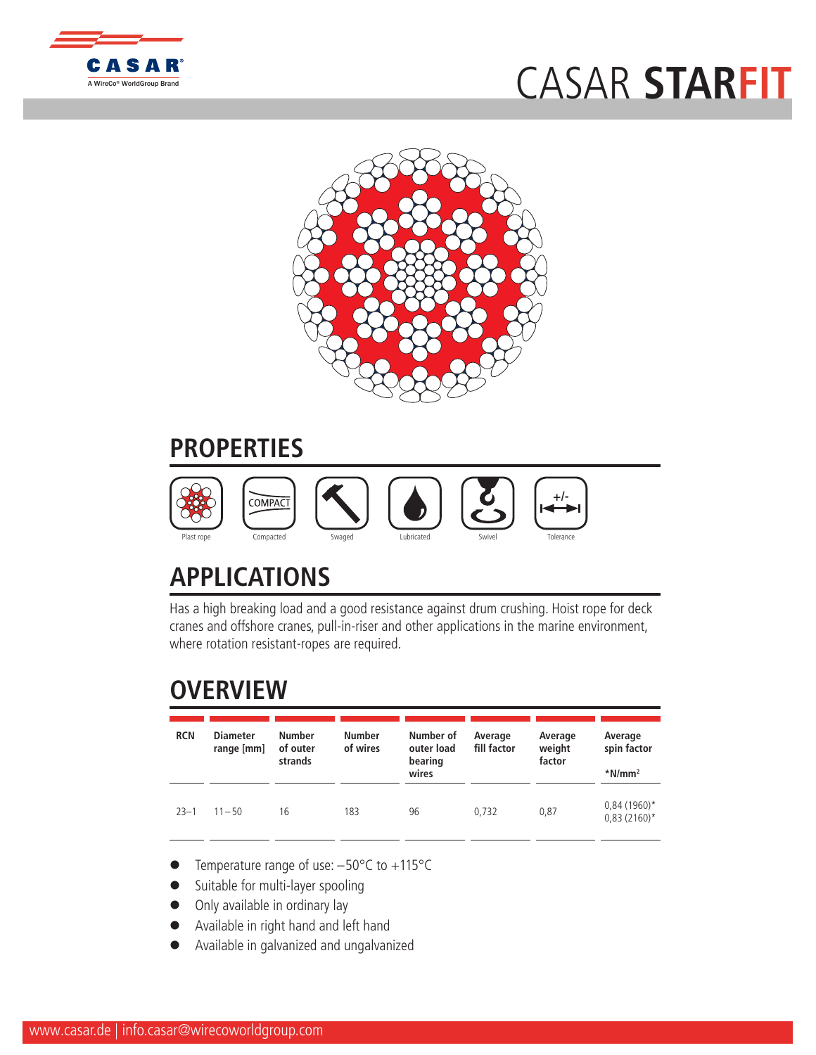

## CASAR **[STARFIT](http://www.WireCoWorldGroup.com)**



## **PROPERTIES**



## **APPLICATIONS**

Has a high breaking load and a good resistance against drum crushing. Hoist rope for deck cranes and offshore cranes, pull-in-riser and other applications in the marine environment, where rotation resistant-ropes are required.

## **OVERVIEW**

| <b>RCN</b> | <b>Diameter</b><br>range [mm] | <b>Number</b><br>of outer<br>strands | <b>Number</b><br>of wires | Number of<br>outer load<br>bearing<br>wires | Average<br>fill factor | Average<br>weight<br>factor | Average<br>spin factor<br>$*$ N/mm <sup>2</sup> |
|------------|-------------------------------|--------------------------------------|---------------------------|---------------------------------------------|------------------------|-----------------------------|-------------------------------------------------|
| $23 - 1$   | $11 - 50$                     | 16                                   | 183                       | 96                                          | 0.732                  | 0,87                        | $0,84(1960)$ *<br>$0,83(2160)^*$                |

- Temperature range of use:  $-50^{\circ}$ C to  $+115^{\circ}$ C
- Suitable for multi-layer spooling
- Only available in ordinary lay
- l Available in right hand and left hand
- l Available in galvanized and ungalvanized